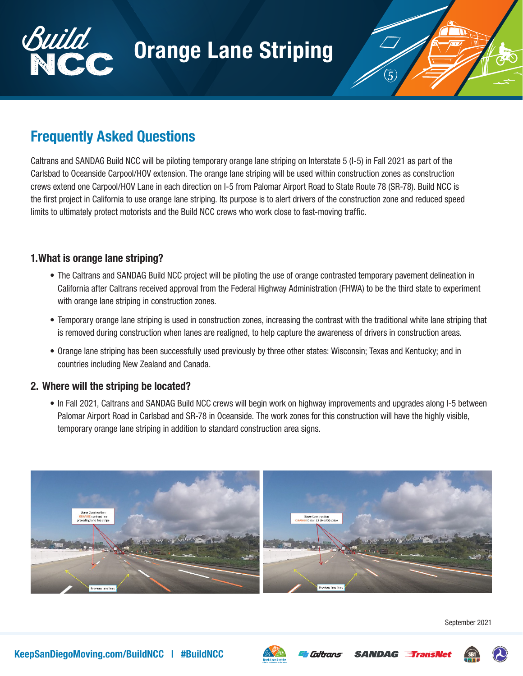



# Frequently Asked Questions

Caltrans and SANDAG Build NCC will be piloting temporary orange lane striping on Interstate 5 (I-5) in Fall 2021 as part of the Carlsbad to Oceanside Carpool/HOV extension. The orange lane striping will be used within construction zones as construction crews extend one Carpool/HOV Lane in each direction on I-5 from Palomar Airport Road to State Route 78 (SR-78). Build NCC is the first project in California to use orange lane striping. Its purpose is to alert drivers of the construction zone and reduced speed limits to ultimately protect motorists and the Build NCC crews who work close to fast-moving traffic.

## 1.What is orange lane striping?

- The Caltrans and SANDAG Build NCC project will be piloting the use of orange contrasted temporary pavement delineation in California after Caltrans received approval from the Federal Highway Administration (FHWA) to be the third state to experiment with orange lane striping in construction zones.
- Temporary orange lane striping is used in construction zones, increasing the contrast with the traditional white lane striping that is removed during construction when lanes are realigned, to help capture the awareness of drivers in construction areas.
- Orange lane striping has been successfully used previously by three other states: Wisconsin; Texas and Kentucky; and in countries including New Zealand and Canada.

## 2. Where will the striping be located?

• In Fall 2021, Caltrans and SANDAG Build NCC crews will begin work on highway improvements and upgrades along I-5 between Palomar Airport Road in Carlsbad and SR-78 in Oceanside. The work zones for this construction will have the highly visible, temporary orange lane striping in addition to standard construction area signs.



September 2021